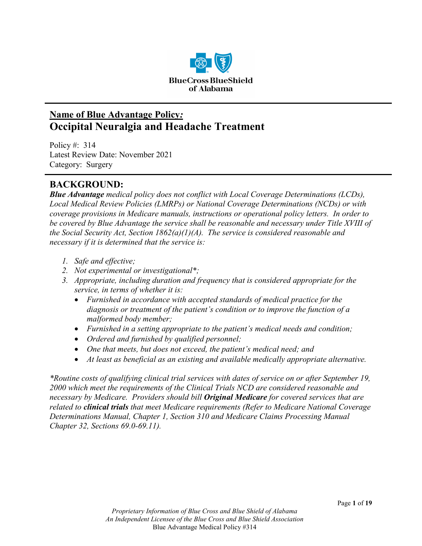

# **Name of Blue Advantage Policy***:* **Occipital Neuralgia and Headache Treatment**

Policy #: 314 Latest Review Date: November 2021 Category: Surgery

## **BACKGROUND:**

*Blue Advantage medical policy does not conflict with Local Coverage Determinations (LCDs), Local Medical Review Policies (LMRPs) or National Coverage Determinations (NCDs) or with coverage provisions in Medicare manuals, instructions or operational policy letters. In order to be covered by Blue Advantage the service shall be reasonable and necessary under Title XVIII of the Social Security Act, Section 1862(a)(1)(A). The service is considered reasonable and necessary if it is determined that the service is:*

- *1. Safe and effective;*
- *2. Not experimental or investigational\*;*
- *3. Appropriate, including duration and frequency that is considered appropriate for the service, in terms of whether it is:*
	- *Furnished in accordance with accepted standards of medical practice for the diagnosis or treatment of the patient's condition or to improve the function of a malformed body member;*
	- *Furnished in a setting appropriate to the patient's medical needs and condition;*
	- *Ordered and furnished by qualified personnel;*
	- *One that meets, but does not exceed, the patient's medical need; and*
	- At least as beneficial as an existing and available medically appropriate alternative.

*\*Routine costs of qualifying clinical trial services with dates of service on or after September 19, 2000 which meet the requirements of the Clinical Trials NCD are considered reasonable and necessary by Medicare. Providers should bill Original Medicare for covered services that are related to clinical trials that meet Medicare requirements (Refer to Medicare National Coverage Determinations Manual, Chapter 1, Section 310 and Medicare Claims Processing Manual Chapter 32, Sections 69.0-69.11).*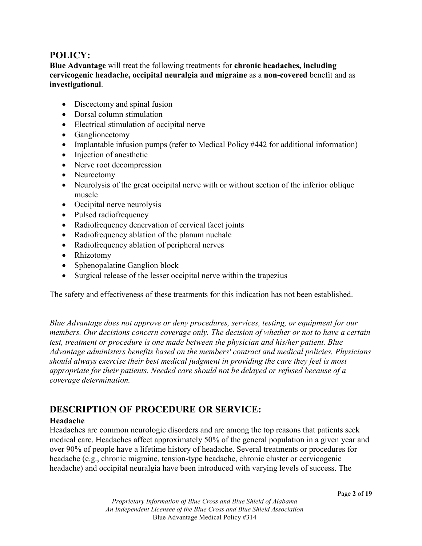## **POLICY:**

**Blue Advantage** will treat the following treatments for **chronic headaches, including cervicogenic headache, occipital neuralgia and migraine** as a **non-covered** benefit and as **investigational**.

- Discectomy and spinal fusion
- Dorsal column stimulation
- Electrical stimulation of occipital nerve
- Ganglionectomy
- Implantable infusion pumps (refer to Medical Policy #442 for additional information)
- Injection of anesthetic
- Nerve root decompression
- Neurectomy
- Neurolysis of the great occipital nerve with or without section of the inferior oblique muscle
- Occipital nerve neurolysis
- Pulsed radiofrequency
- Radiofrequency denervation of cervical facet joints
- Radiofrequency ablation of the planum nuchale
- Radiofrequency ablation of peripheral nerves
- Rhizotomy
- Sphenopalatine Ganglion block
- Surgical release of the lesser occipital nerve within the trapezius

The safety and effectiveness of these treatments for this indication has not been established.

*Blue Advantage does not approve or deny procedures, services, testing, or equipment for our members. Our decisions concern coverage only. The decision of whether or not to have a certain test, treatment or procedure is one made between the physician and his/her patient. Blue Advantage administers benefits based on the members' contract and medical policies. Physicians should always exercise their best medical judgment in providing the care they feel is most appropriate for their patients. Needed care should not be delayed or refused because of a coverage determination.*

## **DESCRIPTION OF PROCEDURE OR SERVICE:**

#### **Headache**

Headaches are common neurologic disorders and are among the top reasons that patients seek medical care. Headaches affect approximately 50% of the general population in a given year and over 90% of people have a lifetime history of headache. Several treatments or procedures for headache (e.g., chronic migraine, tension-type headache, chronic cluster or cervicogenic headache) and occipital neuralgia have been introduced with varying levels of success. The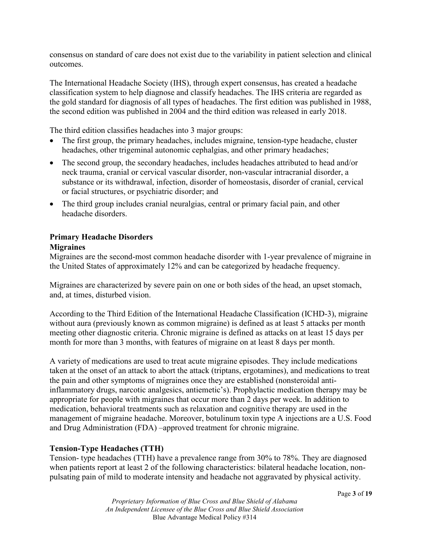consensus on standard of care does not exist due to the variability in patient selection and clinical outcomes.

The International Headache Society (IHS), through expert consensus, has created a headache classification system to help diagnose and classify headaches. The IHS criteria are regarded as the gold standard for diagnosis of all types of headaches. The first edition was published in 1988, the second edition was published in 2004 and the third edition was released in early 2018.

The third edition classifies headaches into 3 major groups:

- The first group, the primary headaches, includes migraine, tension-type headache, cluster headaches, other trigeminal autonomic cephalgias, and other primary headaches;
- The second group, the secondary headaches, includes headaches attributed to head and/or neck trauma, cranial or cervical vascular disorder, non-vascular intracranial disorder, a substance or its withdrawal, infection, disorder of homeostasis, disorder of cranial, cervical or facial structures, or psychiatric disorder; and
- The third group includes cranial neuralgias, central or primary facial pain, and other headache disorders.

#### **Primary Headache Disorders Migraines**

Migraines are the second-most common headache disorder with 1-year prevalence of migraine in the United States of approximately 12% and can be categorized by headache frequency.

Migraines are characterized by severe pain on one or both sides of the head, an upset stomach, and, at times, disturbed vision.

According to the Third Edition of the International Headache Classification (ICHD-3), migraine without aura (previously known as common migraine) is defined as at least 5 attacks per month meeting other diagnostic criteria. Chronic migraine is defined as attacks on at least 15 days per month for more than 3 months, with features of migraine on at least 8 days per month.

A variety of medications are used to treat acute migraine episodes. They include medications taken at the onset of an attack to abort the attack (triptans, ergotamines), and medications to treat the pain and other symptoms of migraines once they are established (nonsteroidal antiinflammatory drugs, narcotic analgesics, antiemetic's). Prophylactic medication therapy may be appropriate for people with migraines that occur more than 2 days per week. In addition to medication, behavioral treatments such as relaxation and cognitive therapy are used in the management of migraine headache. Moreover, botulinum toxin type A injections are a U.S. Food and Drug Administration (FDA) –approved treatment for chronic migraine.

#### **Tension-Type Headaches (TTH)**

Tension- type headaches (TTH) have a prevalence range from 30% to 78%. They are diagnosed when patients report at least 2 of the following characteristics: bilateral headache location, nonpulsating pain of mild to moderate intensity and headache not aggravated by physical activity.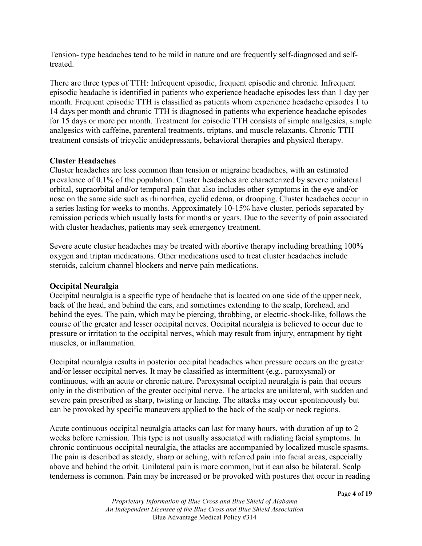Tension- type headaches tend to be mild in nature and are frequently self-diagnosed and selftreated.

There are three types of TTH: Infrequent episodic, frequent episodic and chronic. Infrequent episodic headache is identified in patients who experience headache episodes less than 1 day per month. Frequent episodic TTH is classified as patients whom experience headache episodes 1 to 14 days per month and chronic TTH is diagnosed in patients who experience headache episodes for 15 days or more per month. Treatment for episodic TTH consists of simple analgesics, simple analgesics with caffeine, parenteral treatments, triptans, and muscle relaxants. Chronic TTH treatment consists of tricyclic antidepressants, behavioral therapies and physical therapy.

#### **Cluster Headaches**

Cluster headaches are less common than tension or migraine headaches, with an estimated prevalence of 0.1% of the population. Cluster headaches are characterized by severe unilateral orbital, supraorbital and/or temporal pain that also includes other symptoms in the eye and/or nose on the same side such as rhinorrhea, eyelid edema, or drooping. Cluster headaches occur in a series lasting for weeks to months. Approximately 10-15% have cluster, periods separated by remission periods which usually lasts for months or years. Due to the severity of pain associated with cluster headaches, patients may seek emergency treatment.

Severe acute cluster headaches may be treated with abortive therapy including breathing 100% oxygen and triptan medications. Other medications used to treat cluster headaches include steroids, calcium channel blockers and nerve pain medications.

#### **Occipital Neuralgia**

Occipital neuralgia is a specific type of headache that is located on one side of the upper neck, back of the head, and behind the ears, and sometimes extending to the scalp, forehead, and behind the eyes. The pain, which may be piercing, throbbing, or electric-shock-like, follows the course of the greater and lesser occipital nerves. Occipital neuralgia is believed to occur due to pressure or irritation to the occipital nerves, which may result from injury, entrapment by tight muscles, or inflammation.

Occipital neuralgia results in posterior occipital headaches when pressure occurs on the greater and/or lesser occipital nerves. It may be classified as intermittent (e.g., paroxysmal) or continuous, with an acute or chronic nature. Paroxysmal occipital neuralgia is pain that occurs only in the distribution of the greater occipital nerve. The attacks are unilateral, with sudden and severe pain prescribed as sharp, twisting or lancing. The attacks may occur spontaneously but can be provoked by specific maneuvers applied to the back of the scalp or neck regions.

Acute continuous occipital neuralgia attacks can last for many hours, with duration of up to 2 weeks before remission. This type is not usually associated with radiating facial symptoms. In chronic continuous occipital neuralgia, the attacks are accompanied by localized muscle spasms. The pain is described as steady, sharp or aching, with referred pain into facial areas, especially above and behind the orbit. Unilateral pain is more common, but it can also be bilateral. Scalp tenderness is common. Pain may be increased or be provoked with postures that occur in reading

*Proprietary Information of Blue Cross and Blue Shield of Alabama An Independent Licensee of the Blue Cross and Blue Shield Association* Blue Advantage Medical Policy #314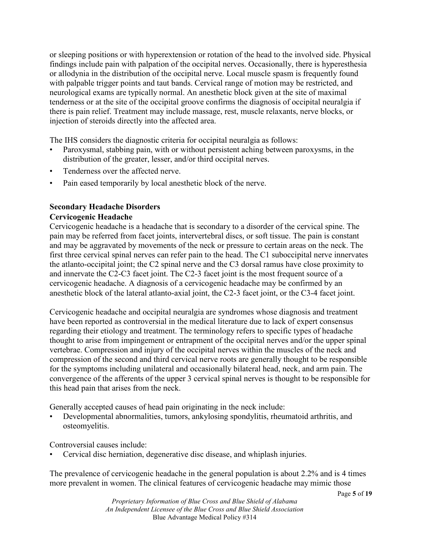or sleeping positions or with hyperextension or rotation of the head to the involved side. Physical findings include pain with palpation of the occipital nerves. Occasionally, there is hyperesthesia or allodynia in the distribution of the occipital nerve. Local muscle spasm is frequently found with palpable trigger points and taut bands. Cervical range of motion may be restricted, and neurological exams are typically normal. An anesthetic block given at the site of maximal tenderness or at the site of the occipital groove confirms the diagnosis of occipital neuralgia if there is pain relief. Treatment may include massage, rest, muscle relaxants, nerve blocks, or injection of steroids directly into the affected area.

The IHS considers the diagnostic criteria for occipital neuralgia as follows:

- Paroxysmal, stabbing pain, with or without persistent aching between paroxysms, in the distribution of the greater, lesser, and/or third occipital nerves.
- Tenderness over the affected nerve.
- Pain eased temporarily by local anesthetic block of the nerve.

# **Secondary Headache Disorders**

#### **Cervicogenic Headache**

Cervicogenic headache is a headache that is secondary to a disorder of the cervical spine. The pain may be referred from facet joints, intervertebral discs, or soft tissue. The pain is constant and may be aggravated by movements of the neck or pressure to certain areas on the neck. The first three cervical spinal nerves can refer pain to the head. The C1 suboccipital nerve innervates the atlanto-occipital joint; the C2 spinal nerve and the C3 dorsal ramus have close proximity to and innervate the C2-C3 facet joint. The C2-3 facet joint is the most frequent source of a cervicogenic headache. A diagnosis of a cervicogenic headache may be confirmed by an anesthetic block of the lateral atlanto-axial joint, the C2-3 facet joint, or the C3-4 facet joint.

Cervicogenic headache and occipital neuralgia are syndromes whose diagnosis and treatment have been reported as controversial in the medical literature due to lack of expert consensus regarding their etiology and treatment. The terminology refers to specific types of headache thought to arise from impingement or entrapment of the occipital nerves and/or the upper spinal vertebrae. Compression and injury of the occipital nerves within the muscles of the neck and compression of the second and third cervical nerve roots are generally thought to be responsible for the symptoms including unilateral and occasionally bilateral head, neck, and arm pain. The convergence of the afferents of the upper 3 cervical spinal nerves is thought to be responsible for this head pain that arises from the neck.

Generally accepted causes of head pain originating in the neck include:

• Developmental abnormalities, tumors, ankylosing spondylitis, rheumatoid arthritis, and osteomyelitis.

Controversial causes include:

• Cervical disc herniation, degenerative disc disease, and whiplash injuries.

The prevalence of cervicogenic headache in the general population is about 2.2% and is 4 times more prevalent in women. The clinical features of cervicogenic headache may mimic those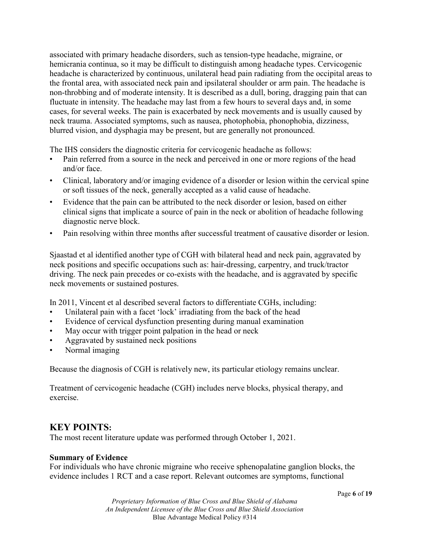associated with primary headache disorders, such as tension-type headache, migraine, or hemicrania continua, so it may be difficult to distinguish among headache types. Cervicogenic headache is characterized by continuous, unilateral head pain radiating from the occipital areas to the frontal area, with associated neck pain and ipsilateral shoulder or arm pain. The headache is non-throbbing and of moderate intensity. It is described as a dull, boring, dragging pain that can fluctuate in intensity. The headache may last from a few hours to several days and, in some cases, for several weeks. The pain is exacerbated by neck movements and is usually caused by neck trauma. Associated symptoms, such as nausea, photophobia, phonophobia, dizziness, blurred vision, and dysphagia may be present, but are generally not pronounced.

The IHS considers the diagnostic criteria for cervicogenic headache as follows:

- Pain referred from a source in the neck and perceived in one or more regions of the head and/or face.
- Clinical, laboratory and/or imaging evidence of a disorder or lesion within the cervical spine or soft tissues of the neck, generally accepted as a valid cause of headache.
- Evidence that the pain can be attributed to the neck disorder or lesion, based on either clinical signs that implicate a source of pain in the neck or abolition of headache following diagnostic nerve block.
- Pain resolving within three months after successful treatment of causative disorder or lesion.

Sjaastad et al identified another type of CGH with bilateral head and neck pain, aggravated by neck positions and specific occupations such as: hair-dressing, carpentry, and truck/tractor driving. The neck pain precedes or co-exists with the headache, and is aggravated by specific neck movements or sustained postures.

In 2011, Vincent et al described several factors to differentiate CGHs, including:

- Unilateral pain with a facet 'lock' irradiating from the back of the head
- Evidence of cervical dysfunction presenting during manual examination
- May occur with trigger point palpation in the head or neck
- Aggravated by sustained neck positions
- Normal imaging

Because the diagnosis of CGH is relatively new, its particular etiology remains unclear.

Treatment of cervicogenic headache (CGH) includes nerve blocks, physical therapy, and exercise.

## **KEY POINTS:**

The most recent literature update was performed through October 1, 2021.

## **Summary of Evidence**

For individuals who have chronic migraine who receive sphenopalatine ganglion blocks, the evidence includes 1 RCT and a case report. Relevant outcomes are symptoms, functional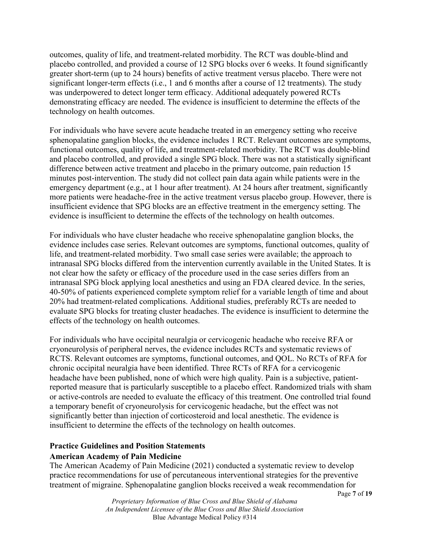outcomes, quality of life, and treatment-related morbidity. The RCT was double-blind and placebo controlled, and provided a course of 12 SPG blocks over 6 weeks. It found significantly greater short-term (up to 24 hours) benefits of active treatment versus placebo. There were not significant longer-term effects (i.e., 1 and 6 months after a course of 12 treatments). The study was underpowered to detect longer term efficacy. Additional adequately powered RCTs demonstrating efficacy are needed. The evidence is insufficient to determine the effects of the technology on health outcomes.

For individuals who have severe acute headache treated in an emergency setting who receive sphenopalatine ganglion blocks, the evidence includes 1 RCT. Relevant outcomes are symptoms, functional outcomes, quality of life, and treatment-related morbidity. The RCT was double-blind and placebo controlled, and provided a single SPG block. There was not a statistically significant difference between active treatment and placebo in the primary outcome, pain reduction 15 minutes post-intervention. The study did not collect pain data again while patients were in the emergency department (e.g., at 1 hour after treatment). At 24 hours after treatment, significantly more patients were headache-free in the active treatment versus placebo group. However, there is insufficient evidence that SPG blocks are an effective treatment in the emergency setting. The evidence is insufficient to determine the effects of the technology on health outcomes.

For individuals who have cluster headache who receive sphenopalatine ganglion blocks, the evidence includes case series. Relevant outcomes are symptoms, functional outcomes, quality of life, and treatment-related morbidity. Two small case series were available; the approach to intranasal SPG blocks differed from the intervention currently available in the United States. It is not clear how the safety or efficacy of the procedure used in the case series differs from an intranasal SPG block applying local anesthetics and using an FDA cleared device. In the series, 40-50% of patients experienced complete symptom relief for a variable length of time and about 20% had treatment-related complications. Additional studies, preferably RCTs are needed to evaluate SPG blocks for treating cluster headaches. The evidence is insufficient to determine the effects of the technology on health outcomes.

For individuals who have occipital neuralgia or cervicogenic headache who receive RFA or cryoneurolysis of peripheral nerves, the evidence includes RCTs and systematic reviews of RCTS. Relevant outcomes are symptoms, functional outcomes, and QOL. No RCTs of RFA for chronic occipital neuralgia have been identified. Three RCTs of RFA for a cervicogenic headache have been published, none of which were high quality. Pain is a subjective, patientreported measure that is particularly susceptible to a placebo effect. Randomized trials with sham or active-controls are needed to evaluate the efficacy of this treatment. One controlled trial found a temporary benefit of cryoneurolysis for cervicogenic headache, but the effect was not significantly better than injection of corticosteroid and local anesthetic. The evidence is insufficient to determine the effects of the technology on health outcomes.

# **Practice Guidelines and Position Statements**

## **American Academy of Pain Medicine**

The American Academy of Pain Medicine (2021) conducted a systematic review to develop practice recommendations for use of percutaneous interventional strategies for the preventive treatment of migraine. Sphenopalatine ganglion blocks received a weak recommendation for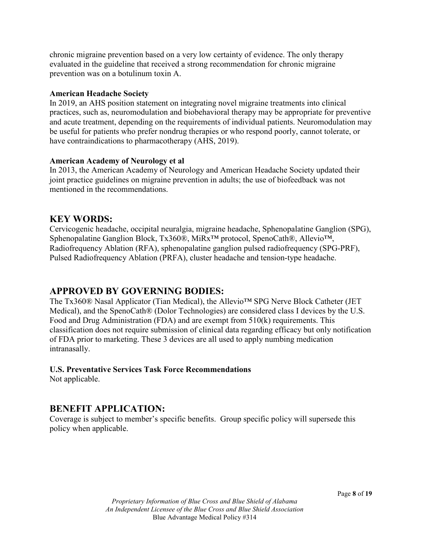chronic migraine prevention based on a very low certainty of evidence. The only therapy evaluated in the guideline that received a strong recommendation for chronic migraine prevention was on a botulinum toxin A.

#### **American Headache Society**

In 2019, an AHS position statement on integrating novel migraine treatments into clinical practices, such as, neuromodulation and biobehavioral therapy may be appropriate for preventive and acute treatment, depending on the requirements of individual patients. Neuromodulation may be useful for patients who prefer nondrug therapies or who respond poorly, cannot tolerate, or have contraindications to pharmacotherapy (AHS, 2019).

#### **American Academy of Neurology et al**

In 2013, the American Academy of Neurology and American Headache Society updated their joint practice guidelines on migraine prevention in adults; the use of biofeedback was not mentioned in the recommendations.

## **KEY WORDS:**

Cervicogenic headache, occipital neuralgia, migraine headache, Sphenopalatine Ganglion (SPG), Sphenopalatine Ganglion Block, Tx360®, MiRx™ protocol, SpenoCath®, Allevio™, Radiofrequency Ablation (RFA), sphenopalatine ganglion pulsed radiofrequency (SPG-PRF), Pulsed Radiofrequency Ablation (PRFA), cluster headache and tension-type headache.

## **APPROVED BY GOVERNING BODIES:**

The Tx360® Nasal Applicator (Tian Medical), the Allevio™ SPG Nerve Block Catheter (JET Medical), and the SpenoCath® (Dolor Technologies) are considered class I devices by the U.S. Food and Drug Administration (FDA) and are exempt from 510(k) requirements. This classification does not require submission of clinical data regarding efficacy but only notification of FDA prior to marketing. These 3 devices are all used to apply numbing medication intranasally.

## **U.S. Preventative Services Task Force Recommendations**

Not applicable.

## **BENEFIT APPLICATION:**

Coverage is subject to member's specific benefits. Group specific policy will supersede this policy when applicable.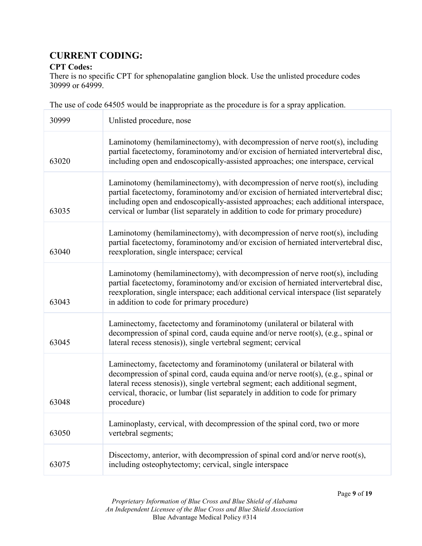# **CURRENT CODING:**

#### **CPT Codes:**

There is no specific CPT for sphenopalatine ganglion block. Use the unlisted procedure codes 30999 or 64999.

The use of code 64505 would be inappropriate as the procedure is for a spray application.

| 30999 | Unlisted procedure, nose                                                                                                                                                                                                                                                                                                                      |
|-------|-----------------------------------------------------------------------------------------------------------------------------------------------------------------------------------------------------------------------------------------------------------------------------------------------------------------------------------------------|
| 63020 | Laminotomy (hemilaminectomy), with decompression of nerve root(s), including<br>partial facetectomy, foraminotomy and/or excision of herniated intervertebral disc,<br>including open and endoscopically-assisted approaches; one interspace, cervical                                                                                        |
| 63035 | Laminotomy (hemilaminectomy), with decompression of nerve root(s), including<br>partial facetectomy, foraminotomy and/or excision of herniated intervertebral disc;<br>including open and endoscopically-assisted approaches; each additional interspace,<br>cervical or lumbar (list separately in addition to code for primary procedure)   |
| 63040 | Laminotomy (hemilaminectomy), with decompression of nerve root(s), including<br>partial facetectomy, foraminotomy and/or excision of herniated intervertebral disc,<br>reexploration, single interspace; cervical                                                                                                                             |
| 63043 | Laminotomy (hemilaminectomy), with decompression of nerve root(s), including<br>partial facetectomy, foraminotomy and/or excision of herniated intervertebral disc,<br>reexploration, single interspace; each additional cervical interspace (list separately<br>in addition to code for primary procedure)                                   |
| 63045 | Laminectomy, facetectomy and foraminotomy (unilateral or bilateral with<br>decompression of spinal cord, cauda equine and/or nerve root(s), (e.g., spinal or<br>lateral recess stenosis)), single vertebral segment; cervical                                                                                                                 |
| 63048 | Laminectomy, facetectomy and foraminotomy (unilateral or bilateral with<br>decompression of spinal cord, cauda equina and/or nerve root(s), (e.g., spinal or<br>lateral recess stenosis)), single vertebral segment; each additional segment,<br>cervical, thoracic, or lumbar (list separately in addition to code for primary<br>procedure) |
| 63050 | Laminoplasty, cervical, with decompression of the spinal cord, two or more<br>vertebral segments;                                                                                                                                                                                                                                             |
| 63075 | Discectomy, anterior, with decompression of spinal cord and/or nerve root(s),<br>including osteophytectomy; cervical, single interspace                                                                                                                                                                                                       |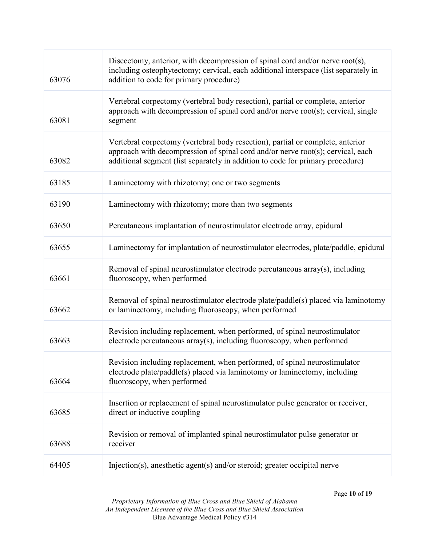| 63076 | Discectomy, anterior, with decompression of spinal cord and/or nerve root(s),<br>including osteophytectomy; cervical, each additional interspace (list separately in<br>addition to code for primary procedure)                                     |
|-------|-----------------------------------------------------------------------------------------------------------------------------------------------------------------------------------------------------------------------------------------------------|
| 63081 | Vertebral corpectomy (vertebral body resection), partial or complete, anterior<br>approach with decompression of spinal cord and/or nerve root(s); cervical, single<br>segment                                                                      |
| 63082 | Vertebral corpectomy (vertebral body resection), partial or complete, anterior<br>approach with decompression of spinal cord and/or nerve root(s); cervical, each<br>additional segment (list separately in addition to code for primary procedure) |
| 63185 | Laminectomy with rhizotomy; one or two segments                                                                                                                                                                                                     |
| 63190 | Laminectomy with rhizotomy; more than two segments                                                                                                                                                                                                  |
| 63650 | Percutaneous implantation of neurostimulator electrode array, epidural                                                                                                                                                                              |
| 63655 | Laminectomy for implantation of neurostimulator electrodes, plate/paddle, epidural                                                                                                                                                                  |
| 63661 | Removal of spinal neurostimulator electrode percutaneous array(s), including<br>fluoroscopy, when performed                                                                                                                                         |
| 63662 | Removal of spinal neurostimulator electrode plate/paddle(s) placed via laminotomy<br>or laminectomy, including fluoroscopy, when performed                                                                                                          |
| 63663 | Revision including replacement, when performed, of spinal neurostimulator<br>electrode percutaneous array(s), including fluoroscopy, when performed                                                                                                 |
| 63664 | Revision including replacement, when performed, of spinal neurostimulator<br>electrode plate/paddle(s) placed via laminotomy or laminectomy, including<br>fluoroscopy, when performed                                                               |
| 63685 | Insertion or replacement of spinal neurostimulator pulse generator or receiver,<br>direct or inductive coupling                                                                                                                                     |
| 63688 | Revision or removal of implanted spinal neurostimulator pulse generator or<br>receiver                                                                                                                                                              |
| 64405 | Injection(s), anesthetic agent(s) and/or steroid; greater occipital nerve                                                                                                                                                                           |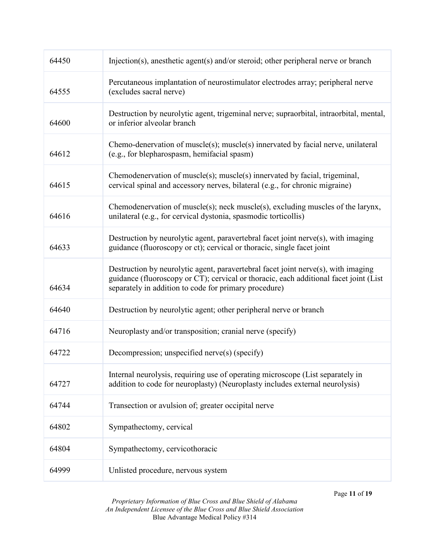| 64450 | Injection(s), anesthetic agent(s) and/or steroid; other peripheral nerve or branch                                                                                                                                                  |
|-------|-------------------------------------------------------------------------------------------------------------------------------------------------------------------------------------------------------------------------------------|
| 64555 | Percutaneous implantation of neurostimulator electrodes array; peripheral nerve<br>(excludes sacral nerve)                                                                                                                          |
| 64600 | Destruction by neurolytic agent, trigeminal nerve; supraorbital, intraorbital, mental,<br>or inferior alveolar branch                                                                                                               |
| 64612 | Chemo-denervation of muscle(s); muscle(s) innervated by facial nerve, unilateral<br>(e.g., for blepharospasm, hemifacial spasm)                                                                                                     |
| 64615 | Chemodenervation of muscle(s); muscle(s) innervated by facial, trigeminal,<br>cervical spinal and accessory nerves, bilateral (e.g., for chronic migraine)                                                                          |
| 64616 | Chemodenervation of muscle(s); neck muscle(s), excluding muscles of the larynx,<br>unilateral (e.g., for cervical dystonia, spasmodic torticollis)                                                                                  |
| 64633 | Destruction by neurolytic agent, paravertebral facet joint nerve(s), with imaging<br>guidance (fluoroscopy or ct); cervical or thoracic, single facet joint                                                                         |
| 64634 | Destruction by neurolytic agent, paravertebral facet joint nerve(s), with imaging<br>guidance (fluoroscopy or CT); cervical or thoracic, each additional facet joint (List<br>separately in addition to code for primary procedure) |
| 64640 | Destruction by neurolytic agent; other peripheral nerve or branch                                                                                                                                                                   |
| 64716 | Neuroplasty and/or transposition; cranial nerve (specify)                                                                                                                                                                           |
| 64722 | Decompression; unspecified nerve(s) (specify)                                                                                                                                                                                       |
| 64727 | Internal neurolysis, requiring use of operating microscope (List separately in<br>addition to code for neuroplasty) (Neuroplasty includes external neurolysis)                                                                      |
| 64744 | Transection or avulsion of; greater occipital nerve                                                                                                                                                                                 |
| 64802 | Sympathectomy, cervical                                                                                                                                                                                                             |
| 64804 | Sympathectomy, cervicothoracic                                                                                                                                                                                                      |
| 64999 | Unlisted procedure, nervous system                                                                                                                                                                                                  |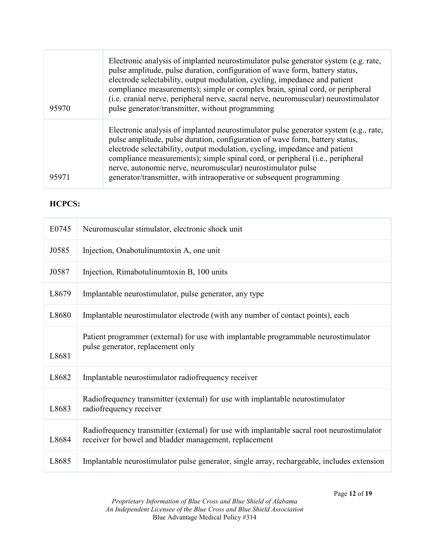| 95970 | Electronic analysis of implanted neurostimulator pulse generator system (e.g. rate,<br>pulse amplitude, pulse duration, configuration of wave form, battery status,<br>electrode selectability, output modulation, cycling, impedance and patient<br>compliance measurements); simple or complex brain, spinal cord, or peripheral<br>(i.e. cranial nerve, peripheral nerve, sacral nerve, neuromuscular) neurostimulator<br>pulse generator/transmitter, without programming |
|-------|-------------------------------------------------------------------------------------------------------------------------------------------------------------------------------------------------------------------------------------------------------------------------------------------------------------------------------------------------------------------------------------------------------------------------------------------------------------------------------|
| 95971 | Electronic analysis of implanted neurostimulator pulse generator system (e.g., rate,<br>pulse amplitude, pulse duration, configuration of wave form, battery status,<br>electrode selectability, output modulation, cycling, impedance and patient<br>compliance measurements); simple spinal cord, or peripheral (i.e., peripheral<br>nerve, autonomic nerve, neuromuscular) neurostimulator pulse<br>generator/transmitter, with intraoperative or subsequent programming   |

## **HCPCS:**

| E0745 | Neuromuscular stimulator, electronic shock unit                                                                                                      |
|-------|------------------------------------------------------------------------------------------------------------------------------------------------------|
| J0585 | Injection, Onabotulinum toxin A, one unit                                                                                                            |
| J0587 | Injection, Rimabotulinum toxin B, 100 units                                                                                                          |
| L8679 | Implantable neurostimulator, pulse generator, any type                                                                                               |
| L8680 | Implantable neurostimulator electrode (with any number of contact points), each                                                                      |
| L8681 | Patient programmer (external) for use with implantable programmable neurostimulator<br>pulse generator, replacement only                             |
| L8682 | Implantable neurostimulator radiofrequency receiver                                                                                                  |
| L8683 | Radiofrequency transmitter (external) for use with implantable neurostimulator<br>radiofrequency receiver                                            |
| L8684 | Radiofrequency transmitter (external) for use with implantable sacral root neurostimulator<br>receiver for bowel and bladder management, replacement |
| L8685 | Implantable neurostimulator pulse generator, single array, rechargeable, includes extension                                                          |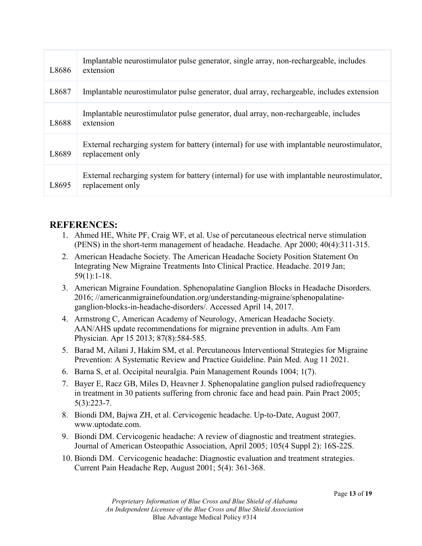| L8686 | Implantable neurostimulator pulse generator, single array, non-rechargeable, includes<br>extension              |
|-------|-----------------------------------------------------------------------------------------------------------------|
| L8687 | Implantable neurostimulator pulse generator, dual array, rechargeable, includes extension                       |
| L8688 | Implantable neurostimulator pulse generator, dual array, non-rechargeable, includes<br>extension                |
| L8689 | External recharging system for battery (internal) for use with implantable neurostimulator,<br>replacement only |
| L8695 | External recharging system for battery (internal) for use with implantable neurostimulator,<br>replacement only |

## **REFERENCES:**

- 1. Ahmed HE, White PF, Craig WF, et al. Use of percutaneous electrical nerve stimulation (PENS) in the short-term management of headache. Headache. Apr 2000; 40(4):311-315.
- 2. American Headache Society. The American Headache Society Position Statement On Integrating New Migraine Treatments Into Clinical Practice. Headache. 2019 Jan; 59(1):1-18.
- 3. American Migraine Foundation. Sphenopalatine Ganglion Blocks in Headache Disorders. 2016; //americanmigrainefoundation.org/understanding-migraine/sphenopalatineganglion-blocks-in-headache-disorders/. Accessed April 14, 2017.
- 4. Armstrong C, American Academy of Neurology, American Headache Society. AAN/AHS update recommendations for migraine prevention in adults. Am Fam Physician. Apr 15 2013; 87(8):584-585.
- 5. Barad M, Ailani J, Hakim SM, et al. Percutaneous Interventional Strategies for Migraine Prevention: A Systematic Review and Practice Guideline. Pain Med. Aug 11 2021.
- 6. Barna S, et al. Occipital neuralgia. Pain Management Rounds 1004; 1(7).
- 7. Bayer E, Racz GB, Miles D, Heavner J. Sphenopalatine ganglion pulsed radiofrequency in treatment in 30 patients suffering from chronic face and head pain. Pain Pract 2005; 5(3):223-7.
- 8. Biondi DM, Bajwa ZH, et al. Cervicogenic headache. Up-to-Date, August 2007. www.uptodate.com.
- 9. Biondi DM. Cervicogenic headache: A review of diagnostic and treatment strategies. Journal of American Osteopathic Association, April 2005; 105(4 Suppl 2): 16S-22S.
- 10. Biondi DM. Cervicogenic headache: Diagnostic evaluation and treatment strategies. Current Pain Headache Rep, August 2001; 5(4): 361-368.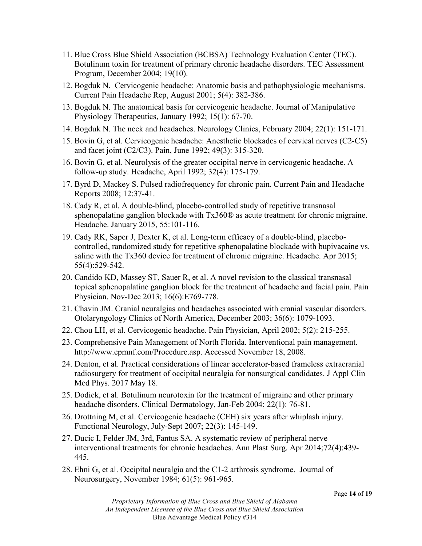- 11. Blue Cross Blue Shield Association (BCBSA) Technology Evaluation Center (TEC). Botulinum toxin for treatment of primary chronic headache disorders. TEC Assessment Program, December 2004; 19(10).
- 12. Bogduk N. Cervicogenic headache: Anatomic basis and pathophysiologic mechanisms. Current Pain Headache Rep, August 2001; 5(4): 382-386.
- 13. Bogduk N. The anatomical basis for cervicogenic headache. Journal of Manipulative Physiology Therapeutics, January 1992; 15(1): 67-70.
- 14. Bogduk N. The neck and headaches. Neurology Clinics, February 2004; 22(1): 151-171.
- 15. Bovin G, et al. Cervicogenic headache: Anesthetic blockades of cervical nerves (C2-C5) and facet joint (C2/C3). Pain, June 1992; 49(3): 315-320.
- 16. Bovin G, et al. Neurolysis of the greater occipital nerve in cervicogenic headache. A follow-up study. Headache, April 1992; 32(4): 175-179.
- 17. Byrd D, Mackey S. Pulsed radiofrequency for chronic pain. Current Pain and Headache Reports 2008; 12:37-41.
- 18. Cady R, et al. A double-blind, placebo-controlled study of repetitive transnasal sphenopalatine ganglion blockade with Tx360® as acute treatment for chronic migraine. Headache. January 2015, 55:101-116.
- 19. Cady RK, Saper J, Dexter K, et al. Long-term efficacy of a double-blind, placebocontrolled, randomized study for repetitive sphenopalatine blockade with bupivacaine vs. saline with the Tx360 device for treatment of chronic migraine. Headache. Apr 2015; 55(4):529-542.
- 20. Candido KD, Massey ST, Sauer R, et al. A novel revision to the classical transnasal topical sphenopalatine ganglion block for the treatment of headache and facial pain. Pain Physician. Nov-Dec 2013; 16(6):E769-778.
- 21. Chavin JM. Cranial neuralgias and headaches associated with cranial vascular disorders. Otolaryngology Clinics of North America, December 2003; 36(6): 1079-1093.
- 22. Chou LH, et al. Cervicogenic headache. Pain Physician, April 2002; 5(2): 215-255.
- 23. Comprehensive Pain Management of North Florida. Interventional pain management. http://www.cpmnf.com/Procedure.asp. Accessed November 18, 2008.
- 24. Denton, et al. Practical considerations of linear accelerator-based frameless extracranial radiosurgery for treatment of occipital neuralgia for nonsurgical candidates. J Appl Clin Med Phys. 2017 May 18.
- 25. Dodick, et al. Botulinum neurotoxin for the treatment of migraine and other primary headache disorders. Clinical Dermatology, Jan-Feb 2004; 22(1): 76-81.
- 26. Drottning M, et al. Cervicogenic headache (CEH) six years after whiplash injury. Functional Neurology, July-Sept 2007; 22(3): 145-149.
- 27. Ducic I, Felder JM, 3rd, Fantus SA. A systematic review of peripheral nerve interventional treatments for chronic headaches. Ann Plast Surg. Apr 2014;72(4):439- 445.
- 28. Ehni G, et al. Occipital neuralgia and the C1-2 arthrosis syndrome. Journal of Neurosurgery, November 1984; 61(5): 961-965.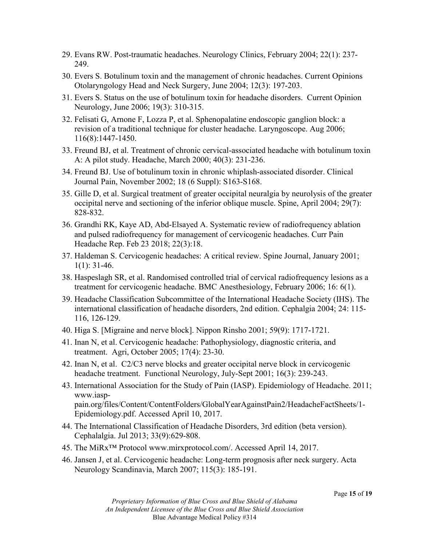- 29. Evans RW. Post-traumatic headaches. Neurology Clinics, February 2004; 22(1): 237- 249.
- 30. Evers S. Botulinum toxin and the management of chronic headaches. Current Opinions Otolaryngology Head and Neck Surgery, June 2004; 12(3): 197-203.
- 31. Evers S. Status on the use of botulinum toxin for headache disorders. Current Opinion Neurology, June 2006; 19(3): 310-315.
- 32. Felisati G, Arnone F, Lozza P, et al. Sphenopalatine endoscopic ganglion block: a revision of a traditional technique for cluster headache. Laryngoscope. Aug 2006; 116(8):1447-1450.
- 33. Freund BJ, et al. Treatment of chronic cervical-associated headache with botulinum toxin A: A pilot study. Headache, March 2000; 40(3): 231-236.
- 34. Freund BJ. Use of botulinum toxin in chronic whiplash-associated disorder. Clinical Journal Pain, November 2002; 18 (6 Suppl): S163-S168.
- 35. Gille D, et al. Surgical treatment of greater occipital neuralgia by neurolysis of the greater occipital nerve and sectioning of the inferior oblique muscle. Spine, April 2004; 29(7): 828-832.
- 36. Grandhi RK, Kaye AD, Abd-Elsayed A. Systematic review of radiofrequency ablation and pulsed radiofrequency for management of cervicogenic headaches. Curr Pain Headache Rep. Feb 23 2018; 22(3):18.
- 37. Haldeman S. Cervicogenic headaches: A critical review. Spine Journal, January 2001;  $1(1):$  31-46.
- 38. Haspeslagh SR, et al. Randomised controlled trial of cervical radiofrequency lesions as a treatment for cervicogenic headache. BMC Anesthesiology, February 2006; 16: 6(1).
- 39. Headache Classification Subcommittee of the International Headache Society (IHS). The international classification of headache disorders, 2nd edition. Cephalgia 2004; 24: 115- 116, 126-129.
- 40. Higa S. [Migraine and nerve block]. Nippon Rinsho 2001; 59(9): 1717-1721.
- 41. Inan N, et al. Cervicogenic headache: Pathophysiology, diagnostic criteria, and treatment. Agri, October 2005; 17(4): 23-30.
- 42. Inan N, et al. C2/C3 nerve blocks and greater occipital nerve block in cervicogenic headache treatment. Functional Neurology, July-Sept 2001; 16(3): 239-243.
- 43. International Association for the Study of Pain (IASP). Epidemiology of Headache. 2011; www.iasppain.org/files/Content/ContentFolders/GlobalYearAgainstPain2/HeadacheFactSheets/1- Epidemiology.pdf. Accessed April 10, 2017.
- 44. The International Classification of Headache Disorders, 3rd edition (beta version). Cephalalgia. Jul 2013; 33(9):629-808.
- 45. The MiRx™ Protocol www.mirxprotocol.com/. Accessed April 14, 2017.
- 46. Jansen J, et al. Cervicogenic headache: Long-term prognosis after neck surgery. Acta Neurology Scandinavia, March 2007; 115(3): 185-191.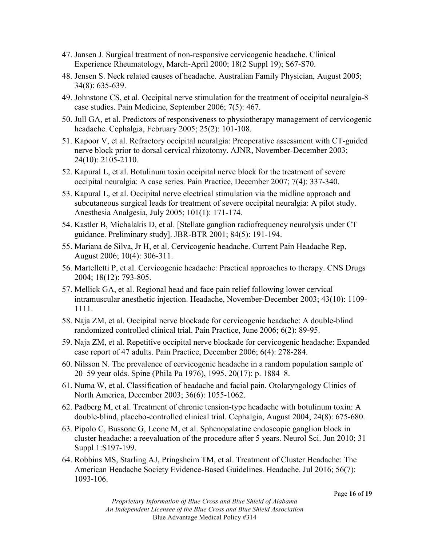- 47. Jansen J. Surgical treatment of non-responsive cervicogenic headache. Clinical Experience Rheumatology, March-April 2000; 18(2 Suppl 19); S67-S70.
- 48. Jensen S. Neck related causes of headache. Australian Family Physician, August 2005; 34(8): 635-639.
- 49. Johnstone CS, et al. Occipital nerve stimulation for the treatment of occipital neuralgia-8 case studies. Pain Medicine, September 2006; 7(5): 467.
- 50. Jull GA, et al. Predictors of responsiveness to physiotherapy management of cervicogenic headache. Cephalgia, February 2005; 25(2): 101-108.
- 51. Kapoor V, et al. Refractory occipital neuralgia: Preoperative assessment with CT-guided nerve block prior to dorsal cervical rhizotomy. AJNR, November-December 2003; 24(10): 2105-2110.
- 52. Kapural L, et al. Botulinum toxin occipital nerve block for the treatment of severe occipital neuralgia: A case series. Pain Practice, December 2007; 7(4): 337-340.
- 53. Kapural L, et al. Occipital nerve electrical stimulation via the midline approach and subcutaneous surgical leads for treatment of severe occipital neuralgia: A pilot study. Anesthesia Analgesia, July 2005; 101(1): 171-174.
- 54. Kastler B, Michalakis D, et al. [Stellate ganglion radiofrequency neurolysis under CT guidance. Preliminary study]. JBR-BTR 2001; 84(5): 191-194.
- 55. Mariana de Silva, Jr H, et al. Cervicogenic headache. Current Pain Headache Rep, August 2006; 10(4): 306-311.
- 56. Martelletti P, et al. Cervicogenic headache: Practical approaches to therapy. CNS Drugs 2004; 18(12): 793-805.
- 57. Mellick GA, et al. Regional head and face pain relief following lower cervical intramuscular anesthetic injection. Headache, November-December 2003; 43(10): 1109- 1111.
- 58. Naja ZM, et al. Occipital nerve blockade for cervicogenic headache: A double-blind randomized controlled clinical trial. Pain Practice, June 2006; 6(2): 89-95.
- 59. Naja ZM, et al. Repetitive occipital nerve blockade for cervicogenic headache: Expanded case report of 47 adults. Pain Practice, December 2006; 6(4): 278-284.
- 60. Nilsson N. The prevalence of cervicogenic headache in a random population sample of 20–59 year olds. Spine (Phila Pa 1976), 1995. 20(17): p. 1884–8.
- 61. Numa W, et al. Classification of headache and facial pain. Otolaryngology Clinics of North America, December 2003; 36(6): 1055-1062.
- 62. Padberg M, et al. Treatment of chronic tension-type headache with botulinum toxin: A double-blind, placebo-controlled clinical trial. Cephalgia, August 2004; 24(8): 675-680.
- 63. Pipolo C, Bussone G, Leone M, et al. Sphenopalatine endoscopic ganglion block in cluster headache: a reevaluation of the procedure after 5 years. Neurol Sci. Jun 2010; 31 Suppl 1:S197-199.
- 64. Robbins MS, Starling AJ, Pringsheim TM, et al. Treatment of Cluster Headache: The American Headache Society Evidence-Based Guidelines. Headache. Jul 2016; 56(7): 1093-106.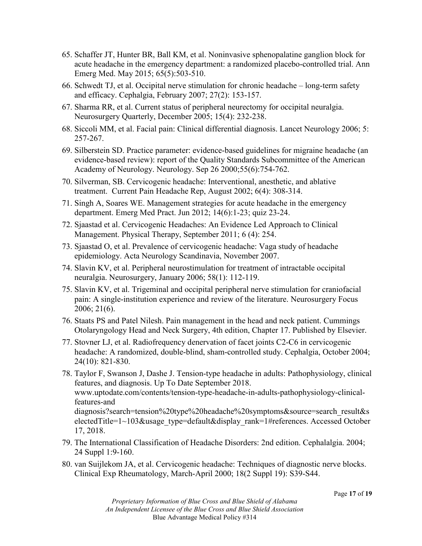- 65. Schaffer JT, Hunter BR, Ball KM, et al. Noninvasive sphenopalatine ganglion block for acute headache in the emergency department: a randomized placebo-controlled trial. Ann Emerg Med. May 2015; 65(5):503-510.
- 66. Schwedt TJ, et al. Occipital nerve stimulation for chronic headache long-term safety and efficacy. Cephalgia, February 2007; 27(2): 153-157.
- 67. Sharma RR, et al. Current status of peripheral neurectomy for occipital neuralgia. Neurosurgery Quarterly, December 2005; 15(4): 232-238.
- 68. Siccoli MM, et al. Facial pain: Clinical differential diagnosis. Lancet Neurology 2006; 5: 257-267.
- 69. Silberstein SD. Practice parameter: evidence-based guidelines for migraine headache (an evidence-based review): report of the Quality Standards Subcommittee of the American Academy of Neurology. Neurology. Sep 26 2000;55(6):754-762.
- 70. Silverman, SB. Cervicogenic headache: Interventional, anesthetic, and ablative treatment. Current Pain Headache Rep, August 2002; 6(4): 308-314.
- 71. Singh A, Soares WE. Management strategies for acute headache in the emergency department. Emerg Med Pract. Jun 2012; 14(6):1-23; quiz 23-24.
- 72. Sjaastad et al. Cervicogenic Headaches: An Evidence Led Approach to Clinical Management. Physical Therapy, September 2011; 6 (4): 254.
- 73. Sjaastad O, et al. Prevalence of cervicogenic headache: Vaga study of headache epidemiology. Acta Neurology Scandinavia, November 2007.
- 74. Slavin KV, et al. Peripheral neurostimulation for treatment of intractable occipital neuralgia. Neurosurgery, January 2006; 58(1): 112-119.
- 75. Slavin KV, et al. Trigeminal and occipital peripheral nerve stimulation for craniofacial pain: A single-institution experience and review of the literature. Neurosurgery Focus 2006; 21(6).
- 76. Staats PS and Patel Nilesh. Pain management in the head and neck patient. Cummings Otolaryngology Head and Neck Surgery, 4th edition, Chapter 17. Published by Elsevier.
- 77. Stovner LJ, et al. Radiofrequency denervation of facet joints C2-C6 in cervicogenic headache: A randomized, double-blind, sham-controlled study. Cephalgia, October 2004; 24(10): 821-830.
- 78. Taylor F, Swanson J, Dashe J. Tension-type headache in adults: Pathophysiology, clinical features, and diagnosis. Up To Date September 2018. www.uptodate.com/contents/tension-type-headache-in-adults-pathophysiology-clinicalfeatures-and diagnosis?search=tension%20type%20headache%20symptoms&source=search\_result&s electedTitle=1~103&usage\_type=default&display\_rank=1#references. Accessed October 17, 2018.
- 79. The International Classification of Headache Disorders: 2nd edition. Cephalalgia. 2004; 24 Suppl 1:9-160.
- 80. van Suijlekom JA, et al. Cervicogenic headache: Techniques of diagnostic nerve blocks. Clinical Exp Rheumatology, March-April 2000; 18(2 Suppl 19): S39-S44.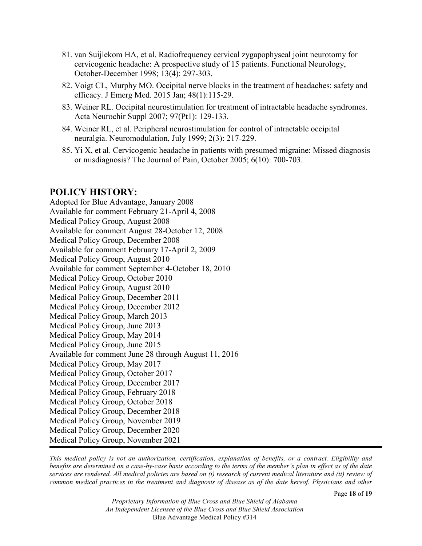- 81. van Suijlekom HA, et al. Radiofrequency cervical zygapophyseal joint neurotomy for cervicogenic headache: A prospective study of 15 patients. Functional Neurology, October-December 1998; 13(4): 297-303.
- 82. Voigt CL, Murphy MO. Occipital nerve blocks in the treatment of headaches: safety and efficacy. J Emerg Med. 2015 Jan; 48(1):115-29.
- 83. Weiner RL. Occipital neurostimulation for treatment of intractable headache syndromes. Acta Neurochir Suppl 2007; 97(Pt1): 129-133.
- 84. Weiner RL, et al. Peripheral neurostimulation for control of intractable occipital neuralgia. Neuromodulation, July 1999; 2(3): 217-229.
- 85. Yi X, et al. Cervicogenic headache in patients with presumed migraine: Missed diagnosis or misdiagnosis? The Journal of Pain, October 2005; 6(10): 700-703.

## **POLICY HISTORY:**

Adopted for Blue Advantage, January 2008 Available for comment February 21-April 4, 2008 Medical Policy Group, August 2008 Available for comment August 28-October 12, 2008 Medical Policy Group, December 2008 Available for comment February 17-April 2, 2009 Medical Policy Group, August 2010 Available for comment September 4-October 18, 2010 Medical Policy Group, October 2010 Medical Policy Group, August 2010 Medical Policy Group, December 2011 Medical Policy Group, December 2012 Medical Policy Group, March 2013 Medical Policy Group, June 2013 Medical Policy Group, May 2014 Medical Policy Group, June 2015 Available for comment June 28 through August 11, 2016 Medical Policy Group, May 2017 Medical Policy Group, October 2017 Medical Policy Group, December 2017 Medical Policy Group, February 2018 Medical Policy Group, October 2018 Medical Policy Group, December 2018 Medical Policy Group, November 2019 Medical Policy Group, December 2020 Medical Policy Group, November 2021

*This medical policy is not an authorization, certification, explanation of benefits, or a contract. Eligibility and benefits are determined on a case-by-case basis according to the terms of the member's plan in effect as of the date services are rendered. All medical policies are based on (i) research of current medical literature and (ii) review of common medical practices in the treatment and diagnosis of disease as of the date hereof. Physicians and other*

*Proprietary Information of Blue Cross and Blue Shield of Alabama An Independent Licensee of the Blue Cross and Blue Shield Association* Blue Advantage Medical Policy #314